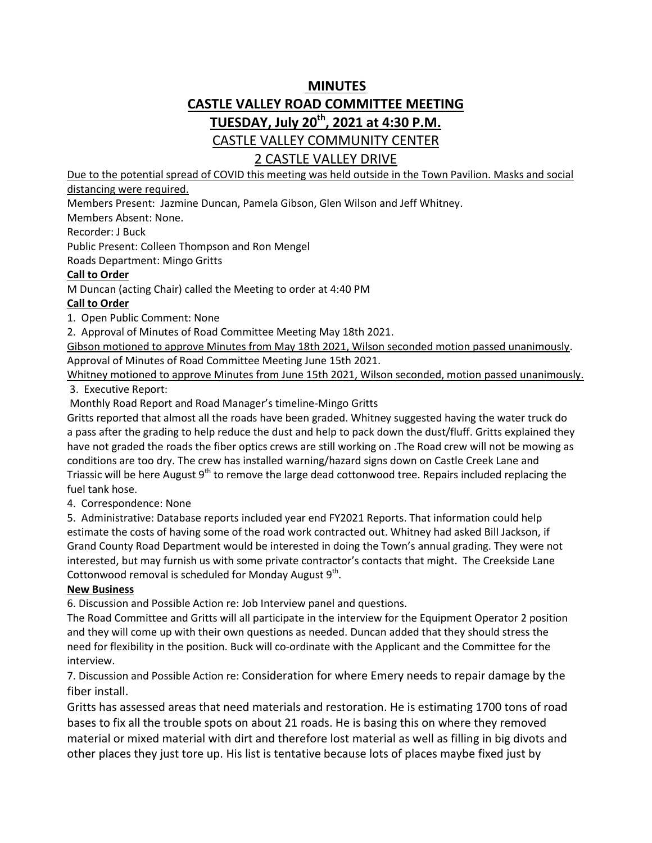# **MINUTES**

# **CASTLE VALLEY ROAD COMMITTEE MEETING TUESDAY, July 20th, 2021 at 4:30 P.M.** CASTLE VALLEY COMMUNITY CENTER

# 2 CASTLE VALLEY DRIVE

Due to the potential spread of COVID this meeting was held outside in the Town Pavilion. Masks and social distancing were required.

Members Present: Jazmine Duncan, Pamela Gibson, Glen Wilson and Jeff Whitney.

Members Absent: None.

Recorder: J Buck

Public Present: Colleen Thompson and Ron Mengel

Roads Department: Mingo Gritts

## **Call to Order**

M Duncan (acting Chair) called the Meeting to order at 4:40 PM

# **Call to Order**

1. Open Public Comment: None

2. Approval of Minutes of Road Committee Meeting May 18th 2021.

Gibson motioned to approve Minutes from May 18th 2021, Wilson seconded motion passed unanimously. Approval of Minutes of Road Committee Meeting June 15th 2021.

Whitney motioned to approve Minutes from June 15th 2021, Wilson seconded, motion passed unanimously. 3. Executive Report:

Monthly Road Report and Road Manager's timeline-Mingo Gritts

Gritts reported that almost all the roads have been graded. Whitney suggested having the water truck do a pass after the grading to help reduce the dust and help to pack down the dust/fluff. Gritts explained they have not graded the roads the fiber optics crews are still working on .The Road crew will not be mowing as conditions are too dry. The crew has installed warning/hazard signs down on Castle Creek Lane and Triassic will be here August  $9<sup>th</sup>$  to remove the large dead cottonwood tree. Repairs included replacing the fuel tank hose.

4. Correspondence: None

5. Administrative: Database reports included year end FY2021 Reports. That information could help estimate the costs of having some of the road work contracted out. Whitney had asked Bill Jackson, if Grand County Road Department would be interested in doing the Town's annual grading. They were not interested, but may furnish us with some private contractor's contacts that might. The Creekside Lane Cottonwood removal is scheduled for Monday August  $9^{th}$ .

## **New Business**

6. Discussion and Possible Action re: Job Interview panel and questions.

The Road Committee and Gritts will all participate in the interview for the Equipment Operator 2 position and they will come up with their own questions as needed. Duncan added that they should stress the need for flexibility in the position. Buck will co-ordinate with the Applicant and the Committee for the interview.

7. Discussion and Possible Action re: Consideration for where Emery needs to repair damage by the fiber install.

Gritts has assessed areas that need materials and restoration. He is estimating 1700 tons of road bases to fix all the trouble spots on about 21 roads. He is basing this on where they removed material or mixed material with dirt and therefore lost material as well as filling in big divots and other places they just tore up. His list is tentative because lots of places maybe fixed just by